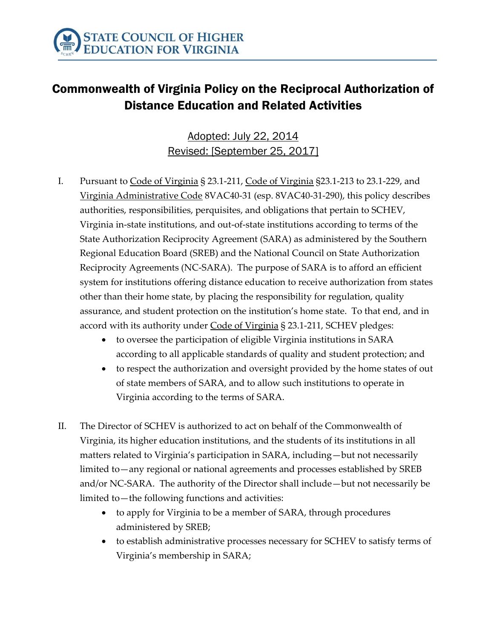

## Commonwealth of Virginia Policy on the Reciprocal Authorization of Distance Education and Related Activities

Adopted: July 22, 2014 Revised: [September 25, 2017]

- I. Pursuant to Code of Virginia § 23.1-211, Code of Virginia §23.1-213 to 23.1-229, and Virginia Administrative Code 8VAC40-31 (esp. 8VAC40-31-290), this policy describes authorities, responsibilities, perquisites, and obligations that pertain to SCHEV, Virginia in-state institutions, and out-of-state institutions according to terms of the State Authorization Reciprocity Agreement (SARA) as administered by the Southern Regional Education Board (SREB) and the National Council on State Authorization Reciprocity Agreements (NC-SARA). The purpose of SARA is to afford an efficient system for institutions offering distance education to receive authorization from states other than their home state, by placing the responsibility for regulation, quality assurance, and student protection on the institution's home state. To that end, and in accord with its authority under Code of Virginia § 23.1-211, SCHEV pledges:
	- to oversee the participation of eligible Virginia institutions in SARA according to all applicable standards of quality and student protection; and
	- to respect the authorization and oversight provided by the home states of out of state members of SARA, and to allow such institutions to operate in Virginia according to the terms of SARA.
- II. The Director of SCHEV is authorized to act on behalf of the Commonwealth of Virginia, its higher education institutions, and the students of its institutions in all matters related to Virginia's participation in SARA, including—but not necessarily limited to—any regional or national agreements and processes established by SREB and/or NC-SARA. The authority of the Director shall include—but not necessarily be limited to—the following functions and activities:
	- to apply for Virginia to be a member of SARA, through procedures administered by SREB;
	- to establish administrative processes necessary for SCHEV to satisfy terms of Virginia's membership in SARA;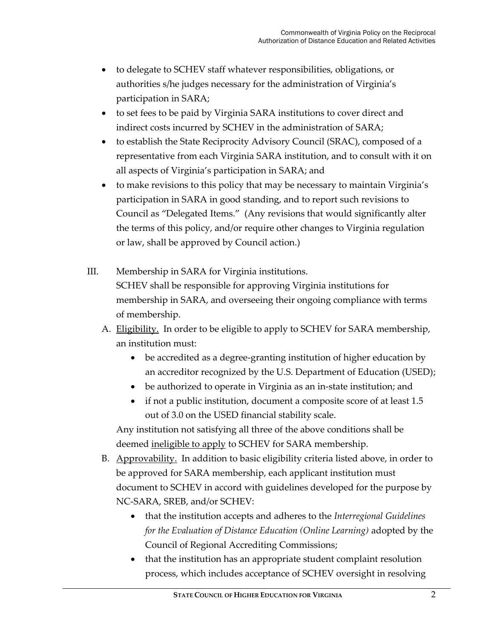- to delegate to SCHEV staff whatever responsibilities, obligations, or authorities s/he judges necessary for the administration of Virginia's participation in SARA;
- to set fees to be paid by Virginia SARA institutions to cover direct and indirect costs incurred by SCHEV in the administration of SARA;
- to establish the State Reciprocity Advisory Council (SRAC), composed of a representative from each Virginia SARA institution, and to consult with it on all aspects of Virginia's participation in SARA; and
- to make revisions to this policy that may be necessary to maintain Virginia's participation in SARA in good standing, and to report such revisions to Council as "Delegated Items." (Any revisions that would significantly alter the terms of this policy, and/or require other changes to Virginia regulation or law, shall be approved by Council action.)
- III. Membership in SARA for Virginia institutions. SCHEV shall be responsible for approving Virginia institutions for membership in SARA, and overseeing their ongoing compliance with terms of membership.
	- A. Eligibility. In order to be eligible to apply to SCHEV for SARA membership, an institution must:
		- be accredited as a degree-granting institution of higher education by an accreditor recognized by the U.S. Department of Education (USED);
		- be authorized to operate in Virginia as an in-state institution; and
		- if not a public institution, document a composite score of at least 1.5 out of 3.0 on the USED financial stability scale.

Any institution not satisfying all three of the above conditions shall be deemed ineligible to apply to SCHEV for SARA membership.

- B. Approvability. In addition to basic eligibility criteria listed above, in order to be approved for SARA membership, each applicant institution must document to SCHEV in accord with guidelines developed for the purpose by NC-SARA, SREB, and/or SCHEV:
	- that the institution accepts and adheres to the *Interregional Guidelines for the Evaluation of Distance Education (Online Learning)* adopted by the Council of Regional Accrediting Commissions;
	- that the institution has an appropriate student complaint resolution process, which includes acceptance of SCHEV oversight in resolving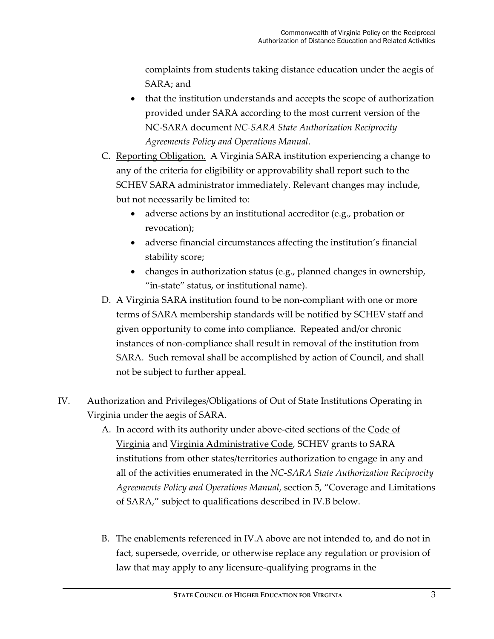complaints from students taking distance education under the aegis of SARA; and

- that the institution understands and accepts the scope of authorization provided under SARA according to the most current version of the NC-SARA document *NC-SARA State Authorization Reciprocity Agreements Policy and Operations Manual*.
- C. Reporting Obligation. A Virginia SARA institution experiencing a change to any of the criteria for eligibility or approvability shall report such to the SCHEV SARA administrator immediately. Relevant changes may include, but not necessarily be limited to:
	- adverse actions by an institutional accreditor (e.g., probation or revocation);
	- adverse financial circumstances affecting the institution's financial stability score;
	- changes in authorization status (e.g., planned changes in ownership, "in-state" status, or institutional name).
- D. A Virginia SARA institution found to be non-compliant with one or more terms of SARA membership standards will be notified by SCHEV staff and given opportunity to come into compliance. Repeated and/or chronic instances of non-compliance shall result in removal of the institution from SARA. Such removal shall be accomplished by action of Council, and shall not be subject to further appeal.
- IV. Authorization and Privileges/Obligations of Out of State Institutions Operating in Virginia under the aegis of SARA.
	- A. In accord with its authority under above-cited sections of the Code of Virginia and Virginia Administrative Code, SCHEV grants to SARA institutions from other states/territories authorization to engage in any and all of the activities enumerated in the *NC-SARA State Authorization Reciprocity Agreements Policy and Operations Manual*, section 5, "Coverage and Limitations of SARA," subject to qualifications described in IV.B below.
	- B. The enablements referenced in IV.A above are not intended to, and do not in fact, supersede, override, or otherwise replace any regulation or provision of law that may apply to any licensure-qualifying programs in the